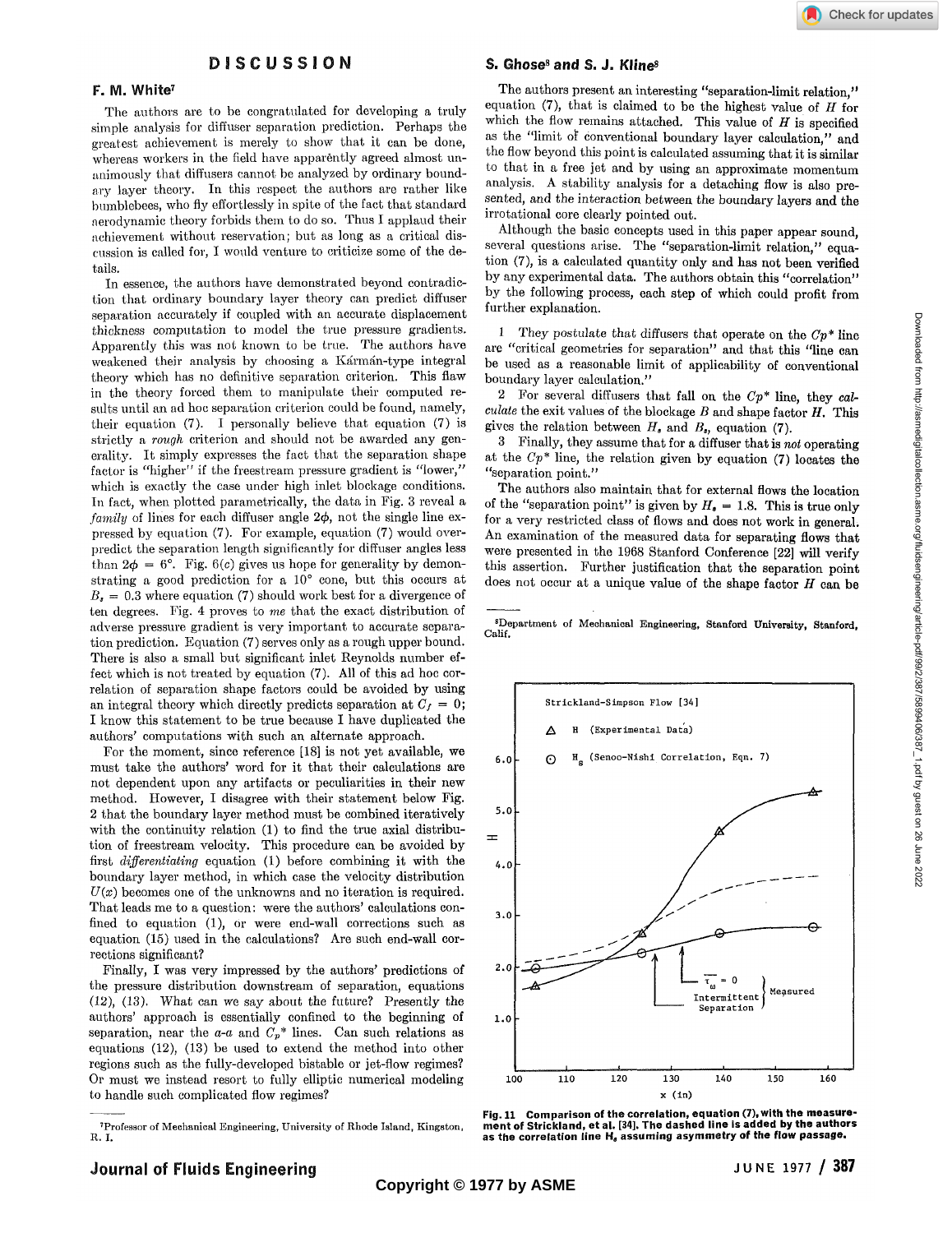## F. M. White<sup>7</sup>

The authors are to be congratulated for developing a truly simple analysis for diffuser separation prediction. Perhaps the greatest achievement is merely to show that it can be done, whereas workers in the field have apparently agreed almost unanimously that diffusers cannot be analyzed by ordinary boundary layer theory. In this respect the authors are rather like bumblebees, who fly effortlessly in spite of the fact that standard aerodynamic theory forbids them to do so. Thus I applaud their achievement without reservation; but as long as a critical discussion is called for, I would venture to criticize some of the details.

In essence, the authors have demonstrated beyond contradiction that ordinary boundary layer theory can predict diffuser separation accurately if coupled with an accurate displacement thickness computation to model the true pressure gradients. Apparently this was not known to be true. The authors have weakened their analysis by choosing a Karman-type integral theory which has no definitive separation criterion. This flaw in the theory forced them to manipulate their computed results until an ad hoc separation criterion could be found, namely, their equation (7). I personally believe that equation (7) is strictly a *rough* criterion and should not be awarded any generality. It simply expresses the fact that the separation shape factor is "higher" if the freestream pressure gradient is "lower," which is exactly the case under high inlet blockage conditions. In fact, when plotted parametrically, the data in Fig. 3 reveal a *family* of lines for each diffuser angle  $2\phi$ , not the single line expressed by equation (7). For example, equation (7) would overpredict the separation length significantly for diffuser angles less than  $2\phi = 6^{\circ}$ . Fig. 6(c) gives us hope for generality by demonstrating a good prediction for a 10° cone, but this occurs at  $B<sub>s</sub> = 0.3$  where equation (7) should work best for a divergence of ten degrees. Fig. 4 proves to *me* that the exact distribution of adverse pressure gradient is very important to accurate separation prediction. Equation (7) serves only as a rough upper bound. There is also a small but significant inlet Reynolds number effect which is not treated by equation (7). All of this ad hoc correlation of separation shape factors could be avoided by using an integral theory which directly predicts separation at  $C_f = 0$ ; 1 know this statement to be true because I have duplicated the authors' computations with such an alternate approach.

For the moment, since reference [18] is not yet available, we must take the authors' word for it that their calculations are not dependent upon any artifacts or peculiarities in their new method. However, I disagree with their statement below Fig. 2 that the boundary layer method must be combined iteratively with the continuity relation (1) to find the true axial distribution of freestream velocity. This procedure can be avoided by first *differentiating* equation (1) before combining it with the boundary layer method, in which case the velocity distribution  $U(x)$  becomes one of the unknowns and no iteration is required. That leads me to a question: were the authors' calculations confined to equation (1), or were end-wall corrections such as equation (15) used in the calculations? Are such end-wall corrections significant?

Finally, I was very impressed by the authors' predictions of the pressure distribution downstream of separation, equations (12), (13). What can we say about the future? Presently the authors' approach is essentially confined to the beginning of separation, near the  $a-a$  and  $C_p^*$  lines. Can such relations as equations (12), (13) be used to extend the method into other regions such as the fully-developed bistable or jet-flow regimes? Or must we instead resort to fully elliptic numerical modeling to handle such complicated flow regimes?

The authors present an interesting "separation-limit relation," equation (7), that is claimed to be the highest value of *H* for which the flow remains attached. This value of *H* is specified as the "limit of conventional boundary layer calculation," and the flow beyond this point is calculated assuming that it is similar to that in a free jet and by using an approximate momentum analysis. A stability analysis for a detaching flow is also presented, and the interaction between the boundary layers and the irrotational core clearly pointed out.

Although the basic concepts used in this paper appear sound, several questions arise. The "separation-limit relation," equation (7), is a calculated quantity only and has not been verified by any experimental data. The authors obtain this "correlation" by the following process, each step of which could profit from further explanation.

1 They postulate that diffusers that operate on the *Cp\** line are "critical geometries for separation" and that this "line can be used as a reasonable limit of applicability of conventional boundary layer calculation."

2 For several diffusers that fall on the *Cp\** line, they *calculate* the exit values of the blockage *B* and shape factor *H.* This gives the relation between  $H_s$  and  $B_s$ , equation (7).

3 Finally, they assume that for a diffuser that is *not* operating at the *Cp\** line, the relation given by equation (7) locates the "separation point."

The authors also maintain that for external flows the location of the "separation point" is given by  $H_{\bullet} = 1.8$ . This is true only for a very restricted class of flows and does not work in general. An examination of the measured data for separating flows that were presented in the 1968 Stanford Conference [22] will verify this assertion. Further justification that the separation point does not occur at a unique value of the shape factor *H* can be

'Department of Mechanical Engineering, Stanford **University, Stanford,**  Calif.



**Fig. 11 Comparison of the correlation, equation (7), with the measurement of Strickland, et al. [34]. The dashed line is added by the authors as the correlation line H, assuming asymmetry of the flow passage.** 

<sup>7</sup> Professor of Mechanical Engineering, University of Rhode Island, Kingston, R.I.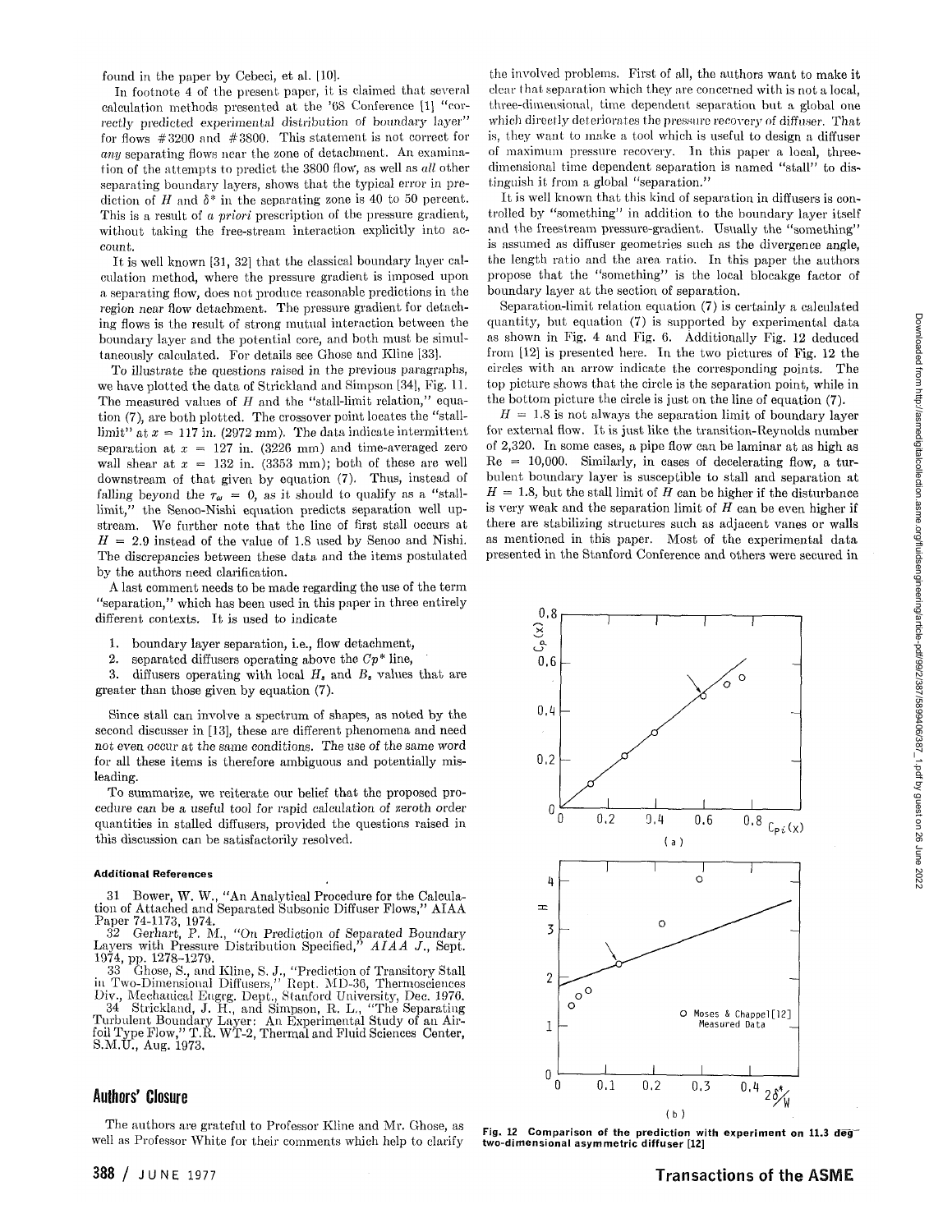In footnote 4 of the present paper, it is claimed that several calculation methods presented at the '68 Conference [1] "correctly predicted experimental distribution of boundary layer" for flows #3200 and #3800. This statement is not correct for *any* separating flows near the zone of detachment. An examination of the attempts to predict the 3800 flow, as well as *all* other separating boundary layers, shows that the typical error in prediction of *H* and *S\** in the separating zone is 40 to 50 percent. This is a result of *a priori* prescription of the pressure gradient, without taking the free-stream interaction explicitly into account.

It is well known [31, 32] that the classical boundary layer calculation method, where the pressure gradient is imposed upon a separating flow, does not produce reasonable predictions in the region near flow detachment. The pressure gradient for detaching flows is the result of strong mutual interaction between the boundary layer and the potential core, and both must be simultaneously calculated. For details see Ghose and Kline [33].

To illustrate the questions raised in the previous paragraphs, we have plotted the data of Strickland and Simpson [34], Fig. 11. The measured values of *H* and the "stall-limit relation," equation (7), are both plotted. The crossover point locates the "stalllimit" at  $x = 117$  in. (2972 mm). The data indicate intermittent separation at  $x = 127$  in. (3226 mm) and time-averaged zero wall shear at  $x = 132$  in. (3353 mm); both of these are well downstream of that given by equation (7). Thus, instead of falling beyond the  $\tau_{\omega} = 0$ , as it should to qualify as a "stalllimit," the Senoo-Nishi equation predicts separation well upstream. We further note that the line of first stall occurs at  $H = 2.9$  instead of the value of 1.8 used by Senoo and Nishi. The discrepancies between these data and the items postulated by the authors need clarification.

A last comment needs to be made regarding the use of the term "separation," which has been used in this paper in three entirely different contexts. It is used to indicate

- 1. boundary layer separation, i.e., flow detachment,
- 2. separated diffusers operating above the *Cp\** line,
- 3. diffusers operating with local *H,* and *B,* values that are greater than those given by equation (7).

Since stall can involve a spectrum of shapes, as noted by the second discusser in [13], these are different phenomena and need not even occur at the same conditions. The use of the same word for all these items is therefore ambiguous and potentially misleading.

To summarize, we reiterate our belief that the proposed procedure can be a useful tool for rapid calculation of zeroth order quantities in stalled diffusers, provided the questions raised in this discussion can be satisfactorily resolved.

## Additional References

31 Bower, W. W., "An Analytical Procedure for the Calcula-tion of Attached and Separated Subsonic Diffuser Flows," AIAA Paper 74-1173, 1974.<br>32 Gerhart, P. M.,

"On Prediction of Separated Boundary Layers with Pressure Distribution Specified," *AIAA J.,* Sept. 1974, pp. 1278-1279.

33 Ghose, S., and Kline, S. J., "Prediction of Transitory Stall in Two-Dimensional Diffusers," Rept. MD-36, Thermosciences Div., Mechanical Eugrg. Dept., Stanford University, Dec. 1976.

34 Strickland, J. H., and Simpson, R. L., "The Separating Turbulent Boundary Layer: An Experimental Study of an Air-foil Type Flow," T.R. WT-2, Thermal and Fluid Sciences Center, S.M.U., Aug. 1973.

## **Authors' Closure**

The authors are grateful to Professor Kline and Mr. Ghose, as well as Professor White for their comments which help to clarify

the involved problems. First of all, the authors want to make it clear that separation which they are concerned with is not a local. three-dimensional, time dependent separation but a global one which directly deteriorates the pressure recovery of diffuser. That is, they want to make a tool which is useful to design a diffuser of maximum pressure recovery. In this paper a local, threedimensional time dependent separation is named "stall" to distinguish it from a global "separation."

It is well known that this kind of separation in diffusers is controlled by "something" in addition to the boundary layer itself and the freestream pressure-gradient. Usually the "something" is assumed as diffuser geometries such as the divergence angle, the length ratio and the area ratio. In this paper the authors propose that the "something" is the local blocakge factor of boundary layer at the section of separation.

Separation-limit relation equation (7) is certainly a calculated quantity, but equation (7) is supported by experimental data as shown in Fig. 4 and Fig. 6. Additionally Fig. 12 deduced from [12] is presented here. In the two pictures of Fig. 12 the circles with an arrow indicate the corresponding points. The top picture shows that the circle is the separation point, while in the bottom picture the circle is just on the line of equation (7).

 $H = 1.8$  is not always the separation limit of boundary layer for external flow. It is just like the transition-Reynolds number of 2,320. In some cases, a pipe flow can be laminar at as high as  $Re = 10,000$ . Similarly, in cases of decelerating flow, a turbulent boundary layer is susceptible to stall and separation at  $H = 1.8$ , but the stall limit of *H* can be higher if the disturbance is very weak and the separation limit of *H* can be even higher if there are stabilizing structures such as adjacent vanes or walls as mentioned in this paper. Most of the experimental data presented in the Stanford Conference and others were secured in



Fig. 12 Comparison of the prediction with experiment on 11.3 deg two-dimensional asymmetric diffuser [12]